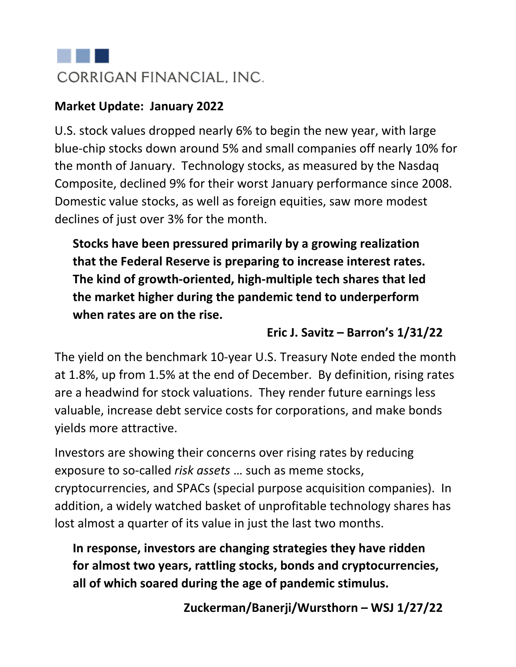# CORRIGAN FINANCIAL. INC.

#### **Market Update: January 2022**

U.S. stock values dropped nearly 6% to begin the new year, with large blue-chip stocks down around 5% and small companies off nearly 10% for the month of January. Technology stocks, as measured by the Nasdaq Composite, declined 9% for their worst January performance since 2008. Domestic value stocks, as well as foreign equities, saw more modest declines of just over 3% for the month.

**Stocks have been pressured primarily by a growing realization that the Federal Reserve is preparing to increase interest rates. The kind of growth-oriented, high-multiple tech shares that led the market higher during the pandemic tend to underperform when rates are on the rise.**

#### **Eric J. Savitz – Barron's 1/31/22**

The yield on the benchmark 10-year U.S. Treasury Note ended the month at 1.8%, up from 1.5% at the end of December. By definition, rising rates are a headwind for stock valuations. They render future earnings less valuable, increase debt service costs for corporations, and make bonds yields more attractive.

Investors are showing their concerns over rising rates by reducing exposure to so-called *risk assets* … such as meme stocks, cryptocurrencies, and SPACs (special purpose acquisition companies). In addition, a widely watched basket of unprofitable technology shares has lost almost a quarter of its value in just the last two months.

**In response, investors are changing strategies they have ridden for almost two years, rattling stocks, bonds and cryptocurrencies, all of which soared during the age of pandemic stimulus.**

**Zuckerman/Banerji/Wursthorn – WSJ 1/27/22**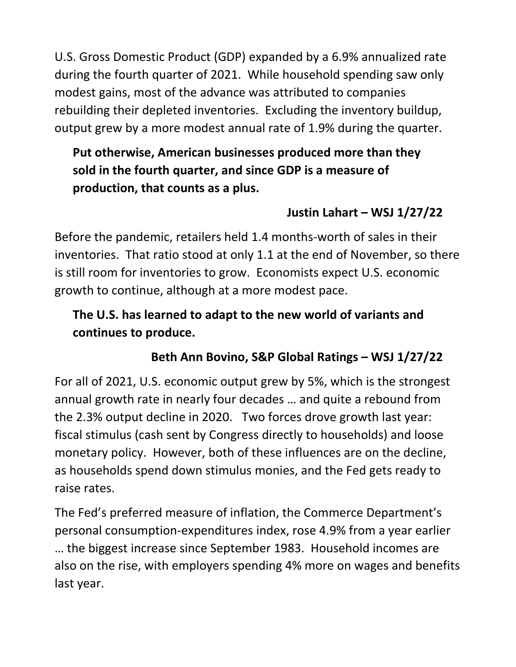U.S. Gross Domestic Product (GDP) expanded by a 6.9% annualized rate during the fourth quarter of 2021. While household spending saw only modest gains, most of the advance was attributed to companies rebuilding their depleted inventories. Excluding the inventory buildup, output grew by a more modest annual rate of 1.9% during the quarter.

#### **Put otherwise, American businesses produced more than they sold in the fourth quarter, and since GDP is a measure of production, that counts as a plus.**

# **Justin Lahart – WSJ 1/27/22**

Before the pandemic, retailers held 1.4 months-worth of sales in their inventories. That ratio stood at only 1.1 at the end of November, so there is still room for inventories to grow. Economists expect U.S. economic growth to continue, although at a more modest pace.

## **The U.S. has learned to adapt to the new world of variants and continues to produce.**

# **Beth Ann Bovino, S&P Global Ratings – WSJ 1/27/22**

For all of 2021, U.S. economic output grew by 5%, which is the strongest annual growth rate in nearly four decades … and quite a rebound from the 2.3% output decline in 2020. Two forces drove growth last year: fiscal stimulus (cash sent by Congress directly to households) and loose monetary policy. However, both of these influences are on the decline, as households spend down stimulus monies, and the Fed gets ready to raise rates.

The Fed's preferred measure of inflation, the Commerce Department's personal consumption-expenditures index, rose 4.9% from a year earlier … the biggest increase since September 1983. Household incomes are also on the rise, with employers spending 4% more on wages and benefits last year.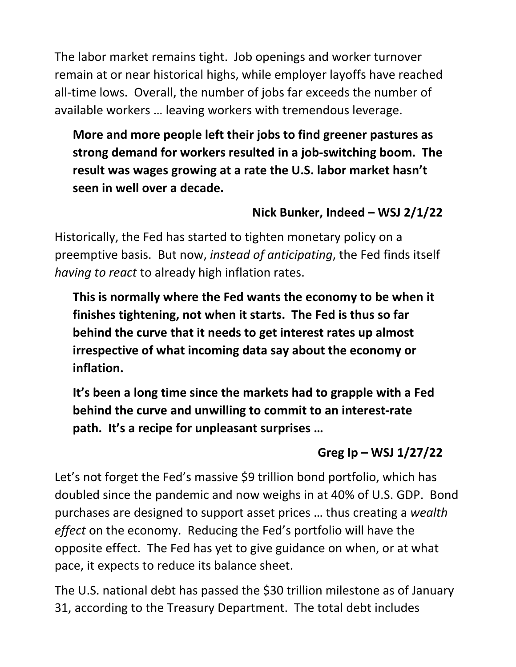The labor market remains tight. Job openings and worker turnover remain at or near historical highs, while employer layoffs have reached all-time lows. Overall, the number of jobs far exceeds the number of available workers … leaving workers with tremendous leverage.

**More and more people left their jobs to find greener pastures as strong demand for workers resulted in a job-switching boom. The result was wages growing at a rate the U.S. labor market hasn't seen in well over a decade.** 

#### **Nick Bunker, Indeed – WSJ 2/1/22**

Historically, the Fed has started to tighten monetary policy on a preemptive basis. But now, *instead of anticipating*, the Fed finds itself *having to react* to already high inflation rates.

**This is normally where the Fed wants the economy to be when it finishes tightening, not when it starts. The Fed is thus so far behind the curve that it needs to get interest rates up almost irrespective of what incoming data say about the economy or inflation.**

**It's been a long time since the markets had to grapple with a Fed behind the curve and unwilling to commit to an interest-rate path. It's a recipe for unpleasant surprises …**

# **Greg Ip – WSJ 1/27/22**

Let's not forget the Fed's massive \$9 trillion bond portfolio, which has doubled since the pandemic and now weighs in at 40% of U.S. GDP. Bond purchases are designed to support asset prices … thus creating a *wealth effect* on the economy. Reducing the Fed's portfolio will have the opposite effect. The Fed has yet to give guidance on when, or at what pace, it expects to reduce its balance sheet.

The U.S. national debt has passed the \$30 trillion milestone as of January 31, according to the Treasury Department. The total debt includes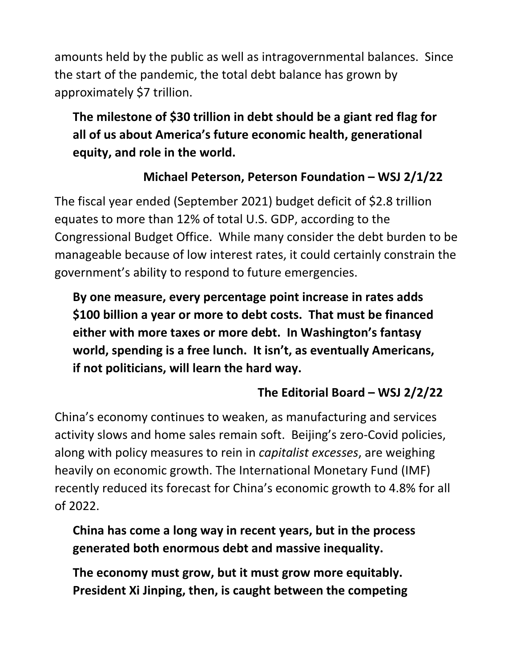amounts held by the public as well as intragovernmental balances. Since the start of the pandemic, the total debt balance has grown by approximately \$7 trillion.

# **The milestone of \$30 trillion in debt should be a giant red flag for all of us about America's future economic health, generational equity, and role in the world.**

# **Michael Peterson, Peterson Foundation – WSJ 2/1/22**

The fiscal year ended (September 2021) budget deficit of \$2.8 trillion equates to more than 12% of total U.S. GDP, according to the Congressional Budget Office. While many consider the debt burden to be manageable because of low interest rates, it could certainly constrain the government's ability to respond to future emergencies.

**By one measure, every percentage point increase in rates adds \$100 billion a year or more to debt costs. That must be financed either with more taxes or more debt. In Washington's fantasy world, spending is a free lunch. It isn't, as eventually Americans, if not politicians, will learn the hard way.**

# **The Editorial Board – WSJ 2/2/22**

China's economy continues to weaken, as manufacturing and services activity slows and home sales remain soft. Beijing's zero-Covid policies, along with policy measures to rein in *capitalist excesses*, are weighing heavily on economic growth. The International Monetary Fund (IMF) recently reduced its forecast for China's economic growth to 4.8% for all of 2022.

**China has come a long way in recent years, but in the process generated both enormous debt and massive inequality.**

**The economy must grow, but it must grow more equitably. President Xi Jinping, then, is caught between the competing**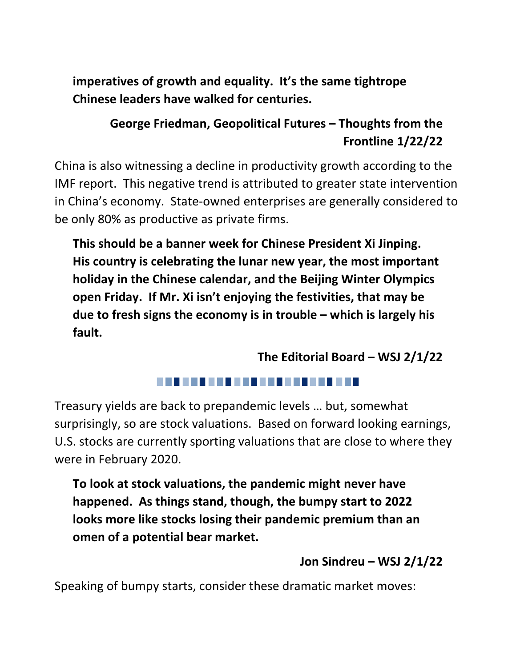**imperatives of growth and equality. It's the same tightrope Chinese leaders have walked for centuries.**

#### **George Friedman, Geopolitical Futures – Thoughts from the Frontline 1/22/22**

China is also witnessing a decline in productivity growth according to the IMF report. This negative trend is attributed to greater state intervention in China's economy. State-owned enterprises are generally considered to be only 80% as productive as private firms.

**This should be a banner week for Chinese President Xi Jinping. His country is celebrating the lunar new year, the most important holiday in the Chinese calendar, and the Beijing Winter Olympics open Friday. If Mr. Xi isn't enjoying the festivities, that may be due to fresh signs the economy is in trouble – which is largely his fault.**

**The Editorial Board – WSJ 2/1/22**

Treasury yields are back to prepandemic levels … but, somewhat surprisingly, so are stock valuations. Based on forward looking earnings, U.S. stocks are currently sporting valuations that are close to where they were in February 2020.

**To look at stock valuations, the pandemic might never have happened. As things stand, though, the bumpy start to 2022 looks more like stocks losing their pandemic premium than an omen of a potential bear market.**

#### **Jon Sindreu – WSJ 2/1/22**

Speaking of bumpy starts, consider these dramatic market moves: